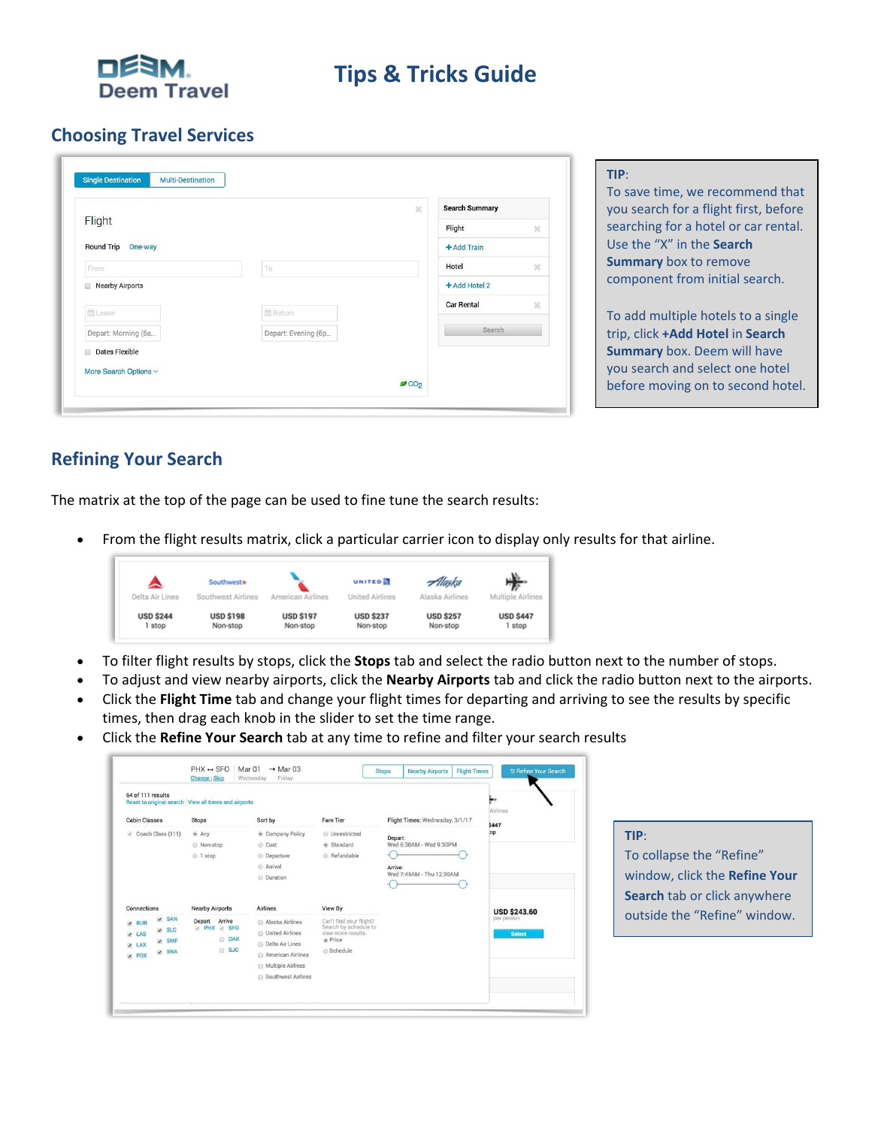

# **Tips & Tricks Guide**

#### **Choosing Travel Services**

|                                            | $\times$ | <b>Search Summary</b> |              | you search for a flight first, before |
|--------------------------------------------|----------|-----------------------|--------------|---------------------------------------|
| Flight                                     |          | Flight                | ×            | searching for a hotel or car rental.  |
| Round Trip One-way                         |          | + Add Train           |              | Use the "X" in the Search             |
| To<br>From                                 |          | Hotel                 | ×            | <b>Summary</b> box to remove          |
| <b>Nearby Airports</b>                     |          | + Add Hotel 2         |              | component from initial search.        |
| <b>前Leave</b><br>l m Return                |          | Car Rental            | $\mathbb{R}$ | To add multiple hotels to a single    |
| Depart: Morning (6a<br>Depart: Evening (6p |          | Search                |              | trip, click +Add Hotel in Search      |
| Dates Flexible                             |          |                       |              | <b>Summary</b> box. Deem will have    |
| More Search Options ~                      |          |                       |              | you search and select one hotel       |
| OCO <sub>2</sub>                           |          |                       |              | before moving on to second hotel.     |

#### **Refining Your Search**

The matrix at the top of the page can be used to fine tune the search results:

• From the flight results matrix, click a particular carrier icon to display only results for that airline.



- To filter flight results by stops, click the **Stops** tab and select the radio button next to the number of stops.
- To adjust and view nearby airports, click the **Nearby Airports** tab and click the radio button next to the airports.
- Click the **Flight Time** tab and change your flight times for departing and arriving to see the results by specific times, then drag each knob in the slider to set the time range.
- Click the **Refine Your Search** tab at any time to refine and filter your search results

|                                                                                            | $PHX \leftrightarrow SFO$<br>Change   Skip                         | Mar 01<br>$\rightarrow$ Mar 03<br>Friday<br>Wednesday                                  |                                                                                              | <b>Flight Times</b><br><b>Nearby Airports</b><br><b>Stops</b>             | <b>Exercise</b> Your Search                        |
|--------------------------------------------------------------------------------------------|--------------------------------------------------------------------|----------------------------------------------------------------------------------------|----------------------------------------------------------------------------------------------|---------------------------------------------------------------------------|----------------------------------------------------|
| 64 of 111 results                                                                          | Reset to original search View all times and airports               |                                                                                        |                                                                                              |                                                                           | Airlines                                           |
| <b>Cabin Classes</b>                                                                       | <b>Stops</b>                                                       | Sort by                                                                                | Fare Tier                                                                                    | Flight Times: Wednesday, 3/1/17                                           | \$447                                              |
| Coach Class (111)                                                                          | $@$ Any<br>@ Non-stop<br>© 1 stop                                  | Company Policy<br>Cost<br>© Departure<br><b>Arrival</b><br>© Duration                  | @ Unrestricted<br>Standard<br>@ Refundable                                                   | Depart:<br>Wed 6:30AM - Wed 9:30PM<br>Arrive:<br>Wed 7:45AM - Thu 12:30AM | :op                                                |
| Connections<br><b>Ø</b> SAN<br><b>Ø BUR</b><br><b>D</b> SLC<br>$\n  LAS\n$<br><b>Ø</b> SMF | <b>Nearby Airports</b><br>Depart Arrive<br>PHX 2 SFO<br><b>DAK</b> | <b>Airlines</b><br>Alaska Airlines<br><b>Di</b> United Airlines                        | View By<br>Can't find your flight?<br>Search by schedule to<br>view more results.<br>@ Price |                                                                           | <b>USD \$243.60</b><br>per person<br><b>Select</b> |
| <b>W</b> LAX<br><b>V</b> SNA<br><b>PDX</b>                                                 | $B$ SJC                                                            | <b>Delta Air Lines</b><br>American Airlines<br>Multiple Airlines<br>Southwest Airlines | Schedule                                                                                     |                                                                           |                                                    |

#### **TIP**:

To collapse the "Refine" window, click the **Refine Your Search** tab or click anywhere outside the "Refine" window.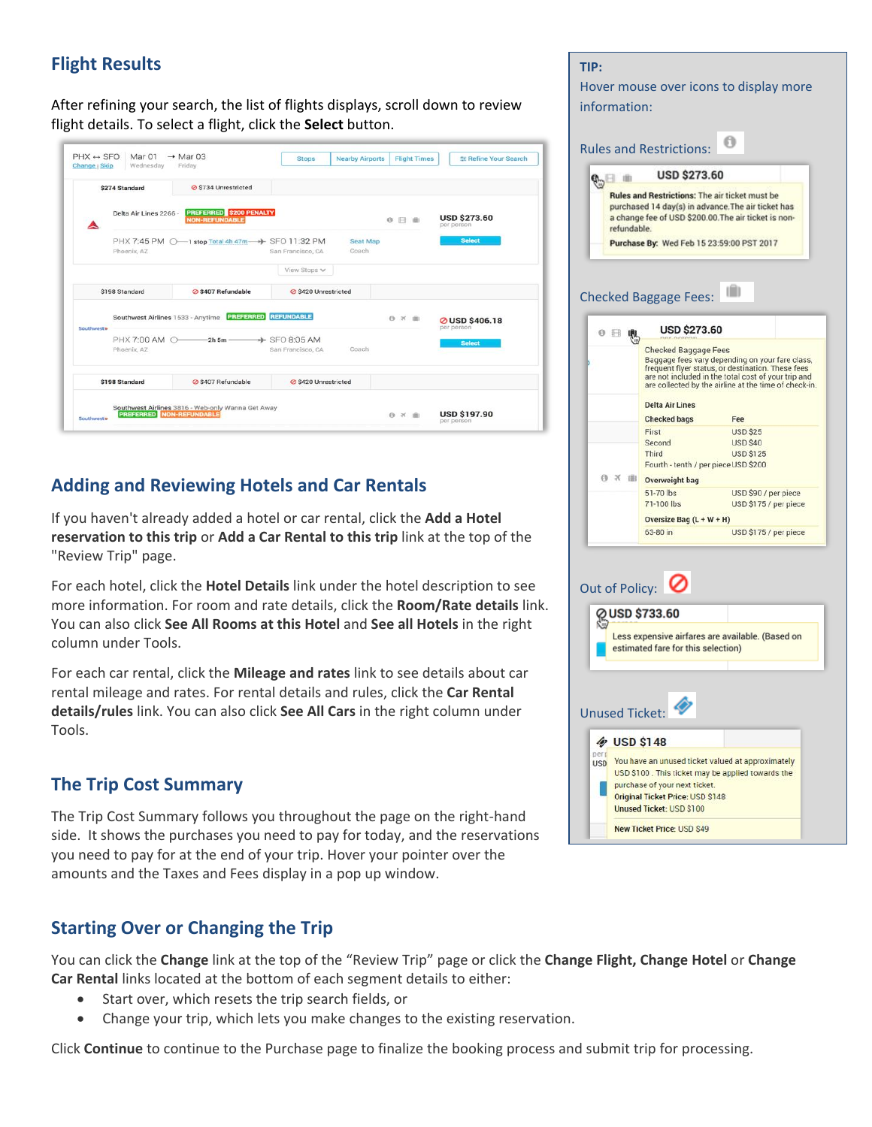# **Flight Results**

After refining your search, the list of flights displays, scroll down to review flight details. To select a flight, click the **Select** button.

|           | \$274 Standard                    | <b>⊘</b> \$734 Unrestricted                      |                                               |              |                                    |
|-----------|-----------------------------------|--------------------------------------------------|-----------------------------------------------|--------------|------------------------------------|
| A         | Delta Air Lines 2266 -            | PREFERRED \$200 PENALTY<br><b>NON-REFUNDABLE</b> |                                               | ◎ 日 曲        | <b>USD \$273.60</b><br>per person  |
|           | Phoenix, AZ                       | PHX 7:45 PM 0-1 stop Total 4h 47m + SFO 11:32 PM | <b>Seat Map</b><br>Coach<br>San Francisco, CA |              | <b>Select</b>                      |
|           |                                   |                                                  | View Stops v                                  |              |                                    |
|           | \$198 Standard                    | ⊘ \$407 Refundable                               | S420 Unrestricted                             |              |                                    |
| Southwest | Southwest Airlines 1533 - Anytime | <b>PREFERRED</b>                                 | <b>REFUNDABLE</b>                             | <b>0 × 曲</b> | <b>⊘USD \$406.18</b><br>per person |
|           | Phoenix, AZ                       | PHX 7:00 AM 0-2h5m + SFO 8:05 AM                 | Coach<br>San Francisco, CA                    |              | <b>Select</b>                      |
|           | \$198 Standard                    | <b>⊘</b> \$407 Refundable                        | <b>⊘ \$420 Unrestricted</b>                   |              |                                    |

# **Adding and Reviewing Hotels and Car Rentals**

If you haven't already added a hotel or car rental, click the **Add a Hotel reservation to this trip** or **Add a Car Rental to this trip** link at the top of the "Review Trip" page.

For each hotel, click the **Hotel Details** link under the hotel description to see more information. For room and rate details, click the **Room/Rate details** link. You can also click **See All Rooms at this Hotel** and **See all Hotels** in the right column under Tools.

For each car rental, click the **Mileage and rates** link to see details about car rental mileage and rates. For rental details and rules, click the **Car Rental details/rules** link. You can also click **See All Cars** in the right column under Tools.

# **The Trip Cost Summary**

The Trip Cost Summary follows you throughout the page on the right-hand side. It shows the purchases you need to pay for today, and the reservations you need to pay for at the end of your trip. Hover your pointer over the amounts and the Taxes and Fees display in a pop up window.

# **Starting Over or Changing the Trip**

You can click the **Change** link at the top of the "Review Trip" page or click the **Change Flight, Change Hotel** or **Change Car Rental** links located at the bottom of each segment details to either:

- Start over, which resets the trip search fields, or
- Change your trip, which lets you make changes to the existing reservation.

Click **Continue** to continue to the Purchase page to finalize the booking process and submit trip for processing.

#### **TIP:**  Hover mouse over icons to display more information:  $\Theta$ Rules and Restrictions: **USD \$273.60**  $\mathcal{C}$ **Rules and Restrictions: The air ticket must be** purchased 14 day(s) in advance. The air ticket has a change fee of USD \$200.00. The air ticket is nonrefundable Purchase By: Wed Feb 15 23:59:00 PST 2017 Checked Baggage Fees:  $\begin{smallmatrix} 0 & \boxminus & \textbf{0} \\ & \textbf{0} & \textbf{0} \end{smallmatrix}$ **USD \$273.60** Checked Baggage Fees Baggage fees vary depending on your fare class,<br>frequent flyer status, or destination. These fees<br>are not included in the total cost of your trip and are collected by the airline at the time of check-in. **Delta Air Lines Checked bags** Fee First **USD \$25** Second **USD \$40 USD \$125** Third Fourth - tenth / per piece USD \$200 ◎ ※ ■ Overweight bag USD \$90 / per piece 51-70 lbs 71-100 lbs USD \$175 / per piece Oversize Bag  $(L + W + H)$ 63-80 in USD \$175 / per piece Out of Policy: @ USD \$733.60 Less expensive airfares are available. (Based on estimated fare for this selection) Unused Ticket: **& USD \$148** USD You have an unused ticket valued at approximately USD \$100. This ticket may be applied towards the purchase of your next ticket. Original Ticket Price: USD \$148 **Unused Ticket: USD \$100 New Ticket Price: USD \$49**